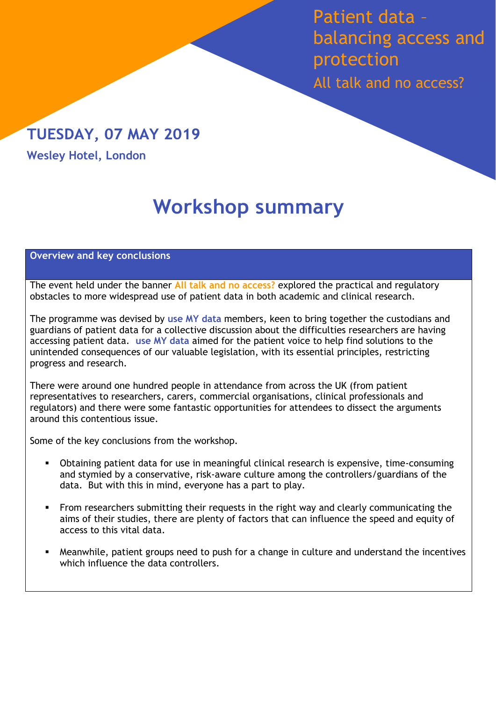Patient data – balancing access and protection All talk and no access?

## TUESDAY, 07 MAY 2019

**Wesley Hotel, London**

# **Workshop summary**

#### **Overview and key conclusions**

The event held under the banner **All talk and no access?** explored the practical and regulatory obstacles to more widespread use of patient data in both academic and clinical research.

The programme was devised by **use MY data** members, keen to bring together the custodians and guardians of patient data for a collective discussion about the difficulties researchers are having accessing patient data. **use MY data** aimed for the patient voice to help find solutions to the unintended consequences of our valuable legislation, with its essential principles, restricting progress and research.

There were around one hundred people in attendance from across the UK (from patient representatives to researchers, carers, commercial organisations, clinical professionals and regulators) and there were some fantastic opportunities for attendees to dissect the arguments around this contentious issue.

Some of the key conclusions from the workshop.

- Obtaining patient data for use in meaningful clinical research is expensive, time-consuming and stymied by a conservative, risk-aware culture among the controllers/guardians of the data. But with this in mind, everyone has a part to play.
- From researchers submitting their requests in the right way and clearly communicating the aims of their studies, there are plenty of factors that can influence the speed and equity of access to this vital data.
- Meanwhile, patient groups need to push for a change in culture and understand the incentives which influence the data controllers.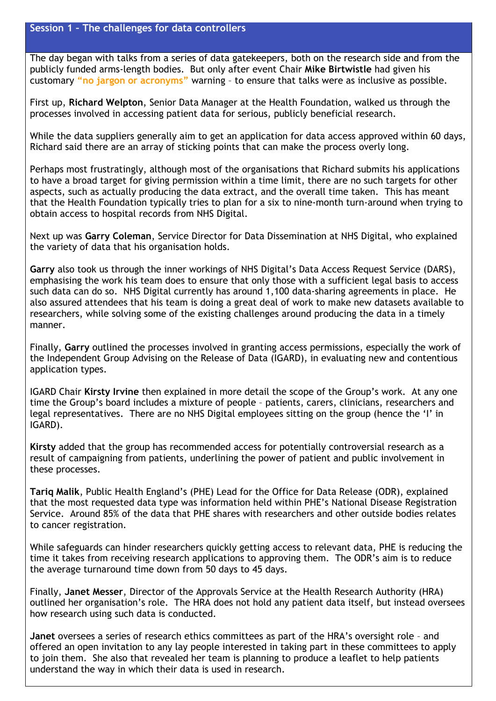The day began with talks from a series of data gatekeepers, both on the research side and from the publicly funded arms-length bodies. But only after event Chair **Mike Birtwistle** had given his customary **"no jargon or acronyms"** warning – to ensure that talks were as inclusive as possible.

First up, **Richard Welpton**, Senior Data Manager at the Health Foundation, walked us through the processes involved in accessing patient data for serious, publicly beneficial research.

While the data suppliers generally aim to get an application for data access approved within 60 days, Richard said there are an array of sticking points that can make the process overly long.

Perhaps most frustratingly, although most of the organisations that Richard submits his applications to have a broad target for giving permission within a time limit, there are no such targets for other aspects, such as actually producing the data extract, and the overall time taken. This has meant that the Health Foundation typically tries to plan for a six to nine-month turn-around when trying to obtain access to hospital records from NHS Digital.

Next up was **Garry Coleman**, Service Director for Data Dissemination at NHS Digital, who explained the variety of data that his organisation holds.

**Garry** also took us through the inner workings of NHS Digital's Data Access Request Service (DARS), emphasising the work his team does to ensure that only those with a sufficient legal basis to access such data can do so. NHS Digital currently has around 1,100 data-sharing agreements in place. He also assured attendees that his team is doing a great deal of work to make new datasets available to researchers, while solving some of the existing challenges around producing the data in a timely manner.

Finally, **Garry** outlined the processes involved in granting access permissions, especially the work of the Independent Group Advising on the Release of Data (IGARD), in evaluating new and contentious application types.

IGARD Chair **Kirsty Irvine** then explained in more detail the scope of the Group's work. At any one time the Group's board includes a mixture of people – patients, carers, clinicians, researchers and legal representatives. There are no NHS Digital employees sitting on the group (hence the 'I' in IGARD).

**Kirsty** added that the group has recommended access for potentially controversial research as a result of campaigning from patients, underlining the power of patient and public involvement in these processes.

**Tariq Malik**, Public Health England's (PHE) Lead for the Office for Data Release (ODR), explained that the most requested data type was information held within PHE's National Disease Registration Service. Around 85% of the data that PHE shares with researchers and other outside bodies relates to cancer registration.

While safeguards can hinder researchers quickly getting access to relevant data, PHE is reducing the time it takes from receiving research applications to approving them. The ODR's aim is to reduce the average turnaround time down from 50 days to 45 days.

Finally, **Janet Messer**, Director of the Approvals Service at the Health Research Authority (HRA) outlined her organisation's role. The HRA does not hold any patient data itself, but instead oversees how research using such data is conducted.

**Janet** oversees a series of research ethics committees as part of the HRA's oversight role – and offered an open invitation to any lay people interested in taking part in these committees to apply to join them. She also that revealed her team is planning to produce a leaflet to help patients understand the way in which their data is used in research.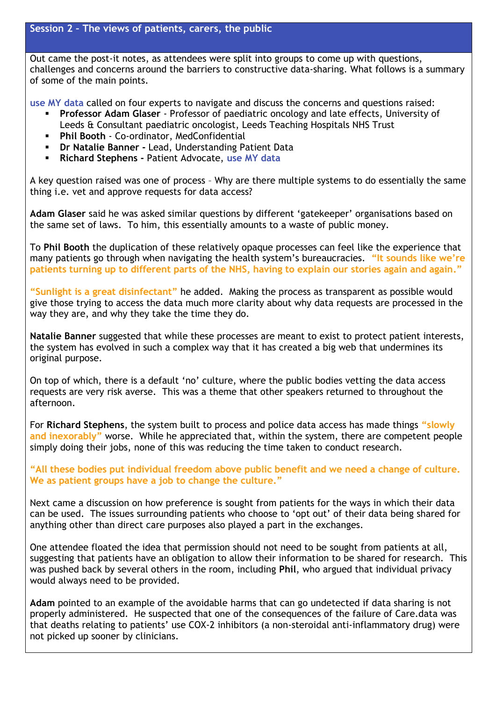Out came the post-it notes, as attendees were split into groups to come up with questions, challenges and concerns around the barriers to constructive data-sharing. What follows is a summary of some of the main points.

**use MY data** called on four experts to navigate and discuss the concerns and questions raised:

- **Professor Adam Glaser** Professor of paediatric oncology and late effects, University of Leeds & Consultant paediatric oncologist, Leeds Teaching Hospitals NHS Trust
- **Phil Booth** Co-ordinator, MedConfidential
- **Dr Natalie Banner -** Lead, Understanding Patient Data
- **Richard Stephens -** Patient Advocate, **use MY data**

A key question raised was one of process – Why are there multiple systems to do essentially the same thing i.e. vet and approve requests for data access?

**Adam Glaser** said he was asked similar questions by different 'gatekeeper' organisations based on the same set of laws. To him, this essentially amounts to a waste of public money.

To **Phil Booth** the duplication of these relatively opaque processes can feel like the experience that many patients go through when navigating the health system's bureaucracies. **"It sounds like we're patients turning up to different parts of the NHS, having to explain our stories again and again."** 

**"Sunlight is a great disinfectant"** he added. Making the process as transparent as possible would give those trying to access the data much more clarity about why data requests are processed in the way they are, and why they take the time they do.

**Natalie Banner** suggested that while these processes are meant to exist to protect patient interests, the system has evolved in such a complex way that it has created a big web that undermines its original purpose.

On top of which, there is a default 'no' culture, where the public bodies vetting the data access requests are very risk averse. This was a theme that other speakers returned to throughout the afternoon.

For **Richard Stephens**, the system built to process and police data access has made things **"slowly and inexorably"** worse. While he appreciated that, within the system, there are competent people simply doing their jobs, none of this was reducing the time taken to conduct research.

**"All these bodies put individual freedom above public benefit and we need a change of culture. We as patient groups have a job to change the culture."**

Next came a discussion on how preference is sought from patients for the ways in which their data can be used. The issues surrounding patients who choose to 'opt out' of their data being shared for anything other than direct care purposes also played a part in the exchanges.

One attendee floated the idea that permission should not need to be sought from patients at all, suggesting that patients have an obligation to allow their information to be shared for research. This was pushed back by several others in the room, including **Phil**, who argued that individual privacy would always need to be provided.

**Adam** pointed to an example of the avoidable harms that can go undetected if data sharing is not properly administered. He suspected that one of the consequences of the failure of Care.data was that deaths relating to patients' use COX-2 inhibitors (a non-steroidal anti-inflammatory drug) were not picked up sooner by clinicians.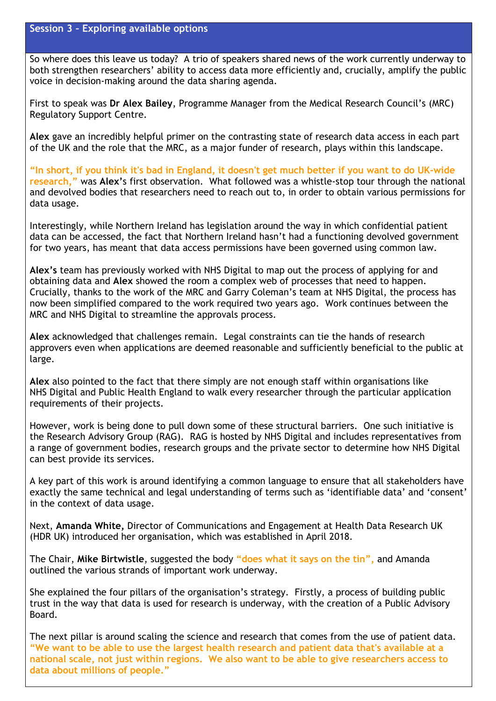So where does this leave us today? A trio of speakers shared news of the work currently underway to both strengthen researchers' ability to access data more efficiently and, crucially, amplify the public voice in decision-making around the data sharing agenda.

First to speak was **Dr Alex Bailey**, Programme Manager from the Medical Research Council's (MRC) Regulatory Support Centre.

**Alex** gave an incredibly helpful primer on the contrasting state of research data access in each part of the UK and the role that the MRC, as a major funder of research, plays within this landscape.

**"In short, if you think it's bad in England, it doesn't get much better if you want to do UK-wide research,"** was **Alex'**s first observation. What followed was a whistle-stop tour through the national and devolved bodies that researchers need to reach out to, in order to obtain various permissions for data usage.

Interestingly, while Northern Ireland has legislation around the way in which confidential patient data can be accessed, the fact that Northern Ireland hasn't had a functioning devolved government for two years, has meant that data access permissions have been governed using common law.

**Alex's** team has previously worked with NHS Digital to map out the process of applying for and obtaining data and **Alex** showed the room a complex web of processes that need to happen. Crucially, thanks to the work of the MRC and Garry Coleman's team at NHS Digital, the process has now been simplified compared to the work required two years ago. Work continues between the MRC and NHS Digital to streamline the approvals process.

**Alex** acknowledged that challenges remain. Legal constraints can tie the hands of research approvers even when applications are deemed reasonable and sufficiently beneficial to the public at large.

**Alex** also pointed to the fact that there simply are not enough staff within organisations like NHS Digital and Public Health England to walk every researcher through the particular application requirements of their projects.

However, work is being done to pull down some of these structural barriers. One such initiative is the Research Advisory Group (RAG). RAG is hosted by NHS Digital and includes representatives from a range of government bodies, research groups and the private sector to determine how NHS Digital can best provide its services.

A key part of this work is around identifying a common language to ensure that all stakeholders have exactly the same technical and legal understanding of terms such as 'identifiable data' and 'consent' in the context of data usage.

Next, **Amanda White,** Director of Communications and Engagement at Health Data Research UK (HDR UK) introduced her organisation, which was established in April 2018.

The Chair, **Mike Birtwistle**, suggested the body **"does what it says on the tin",** and Amanda outlined the various strands of important work underway.

She explained the four pillars of the organisation's strategy. Firstly, a process of building public trust in the way that data is used for research is underway, with the creation of a Public Advisory Board.

The next pillar is around scaling the science and research that comes from the use of patient data. **"We want to be able to use the largest health research and patient data that's available at a national scale, not just within regions. We also want to be able to give researchers access to data about millions of people."**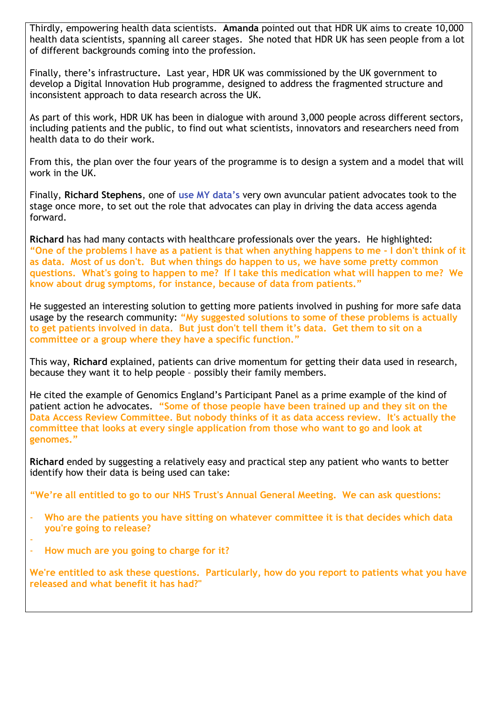Thirdly, empowering health data scientists. **Amanda** pointed out that HDR UK aims to create 10,000 health data scientists, spanning all career stages. She noted that HDR UK has seen people from a lot of different backgrounds coming into the profession.

Finally, there's infrastructure**.** Last year, HDR UK was commissioned by the UK government to develop a Digital Innovation Hub programme, designed to address the fragmented structure and inconsistent approach to data research across the UK.

As part of this work, HDR UK has been in dialogue with around 3,000 people across different sectors, including patients and the public, to find out what scientists, innovators and researchers need from health data to do their work.

From this, the plan over the four years of the programme is to design a system and a model that will work in the UK.

Finally, **Richard Stephens**, one of **use MY data's** very own avuncular patient advocates took to the stage once more, to set out the role that advocates can play in driving the data access agenda forward.

**Richard** has had many contacts with healthcare professionals over the years. He highlighted: **"One of the problems I have as a patient is that when anything happens to me - I don't think of it as data. Most of us don't. But when things do happen to us, we have some pretty common questions. What's going to happen to me? If I take this medication what will happen to me? We know about drug symptoms, for instance, because of data from patients."**

He suggested an interesting solution to getting more patients involved in pushing for more safe data usage by the research community: **"My suggested solutions to some of these problems is actually to get patients involved in data. But just don't tell them it's data. Get them to sit on a committee or a group where they have a specific function."** 

This way, **Richard** explained, patients can drive momentum for getting their data used in research, because they want it to help people – possibly their family members.

He cited the example of Genomics England's Participant Panel as a prime example of the kind of patient action he advocates. **"Some of those people have been trained up and they sit on the Data Access Review Committee. But nobody thinks of it as data access review. It's actually the committee that looks at every single application from those who want to go and look at genomes."**

**Richard** ended by suggesting a relatively easy and practical step any patient who wants to better identify how their data is being used can take:

**"We're all entitled to go to our NHS Trust's Annual General Meeting. We can ask questions:**

- **Who are the patients you have sitting on whatever committee it is that decides which data you're going to release?**
- - **How much are you going to charge for it?**

**We're entitled to ask these questions. Particularly, how do you report to patients what you have released and what benefit it has had?"**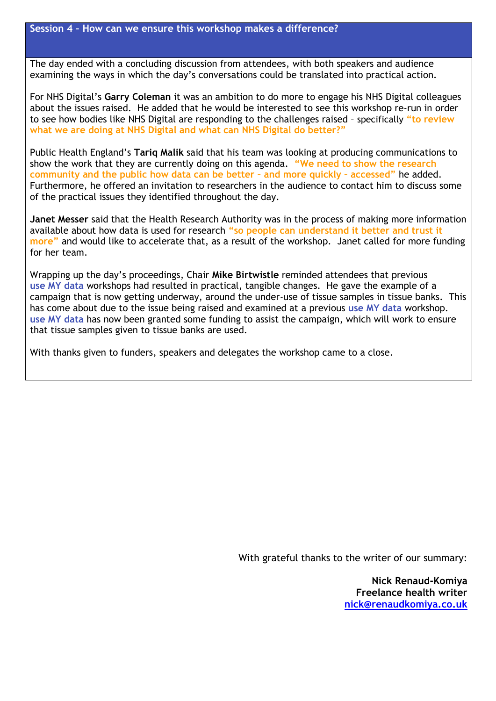The day ended with a concluding discussion from attendees, with both speakers and audience examining the ways in which the day's conversations could be translated into practical action.

For NHS Digital's **Garry Coleman** it was an ambition to do more to engage his NHS Digital colleagues about the issues raised. He added that he would be interested to see this workshop re-run in order to see how bodies like NHS Digital are responding to the challenges raised – specifically **"to review what we are doing at NHS Digital and what can NHS Digital do better?"**

Public Health England's **Tariq Malik** said that his team was looking at producing communications to show the work that they are currently doing on this agenda. **"We need to show the research community and the public how data can be better – and more quickly – accessed"** he added. Furthermore, he offered an invitation to researchers in the audience to contact him to discuss some of the practical issues they identified throughout the day.

**Janet Messer** said that the Health Research Authority was in the process of making more information available about how data is used for research **"so people can understand it better and trust it more"** and would like to accelerate that, as a result of the workshop.Janet called for more funding for her team.

Wrapping up the day's proceedings, Chair **Mike Birtwistle** reminded attendees that previous **use MY data** workshops had resulted in practical, tangible changes. He gave the example of a campaign that is now getting underway, around the under-use of tissue samples in tissue banks. This has come about due to the issue being raised and examined at a previous **use MY data** workshop. **use MY data** has now been granted some funding to assist the campaign, which will work to ensure that tissue samples given to tissue banks are used.

With thanks given to funders, speakers and delegates the workshop came to a close.

With grateful thanks to the writer of our summary:

**Nick Renaud-Komiya Freelance health writer [nick@renaudkomiya.co.uk](mailto:nick@renaudkomiya.co.uk)**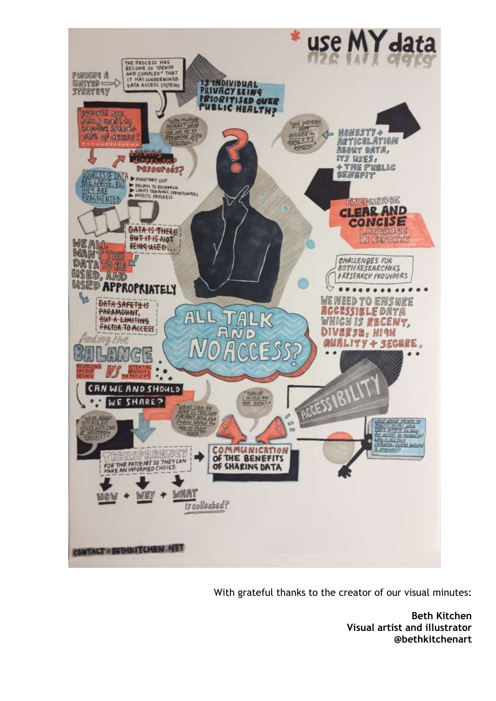

With grateful thanks to the creator of our visual minutes:

**Beth Kitchen Visual artist and illustrator @bethkitchenart**